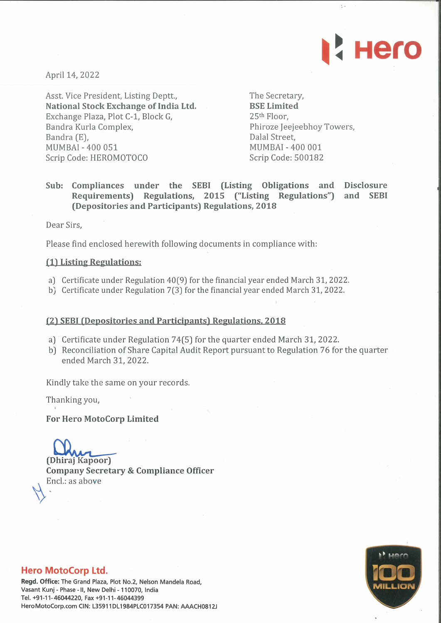

 $\ddot{\phantom{a}}$ 

April 14, 2022

Asst. Vice President, Listing Deptt., National Stock Exchange of India Ltd. Exchange Plaza, Plot C-1, Block G, Bandra Kurla Complex, Bandra (E), MUMBAI - 400 051 Scrip Code: HEROMOTOCO

The Secretary, BSE Limited 25th Floor, Phiroze Jeejeebhoy Towers, Dalai Street, MUMBAI - 400 001 Scrip Code: 500182

# Sub: Compliances under the SEBI (Listing Obligations and Disclosure Requirements) Regulations, 2015 ("Listing Regulations") and SEBI (Depositories and Participants) Regulations, 2018

Dear Sirs,

Please find enclosed herewith following documents in compliance with:

#### (1) Listing Regulations:

- a) Certificate under Regulation 40(9) for the financial year ended March 31, 2022.
- b) Certificate under Regulation 7(3) for the financial year ended March 31, 2022.

#### (2) SEBI (Depositories and Participants) Regulations, 2018

- a) Certificate under Regulation 74(5) for the quarter ended March 31, 2022.
- b) Reconciliation of Share Capital Audit Report pursuant to Regulation 76 for the quarter ended March 31, 2022.

Kindly take the same on your records.

Thanking you,

For Hero MotoCorp Limited

(Dhiraj Kapoor)

Company Secretary & Compliance Officer Encl.: as above



### Hero MotoCorp Ltd.

Regd. Office: The Grand Plaza, Plot No.2, Nelson Mandela Road, Vasant Kunj - Phase - II, New Delhi - 110070, India Tel. +91-11-46044220, Fax +91-11-46044399 HeroMotoCorp.com CIN: L35911DL1984PLC017354 PAN: AAACH0812J